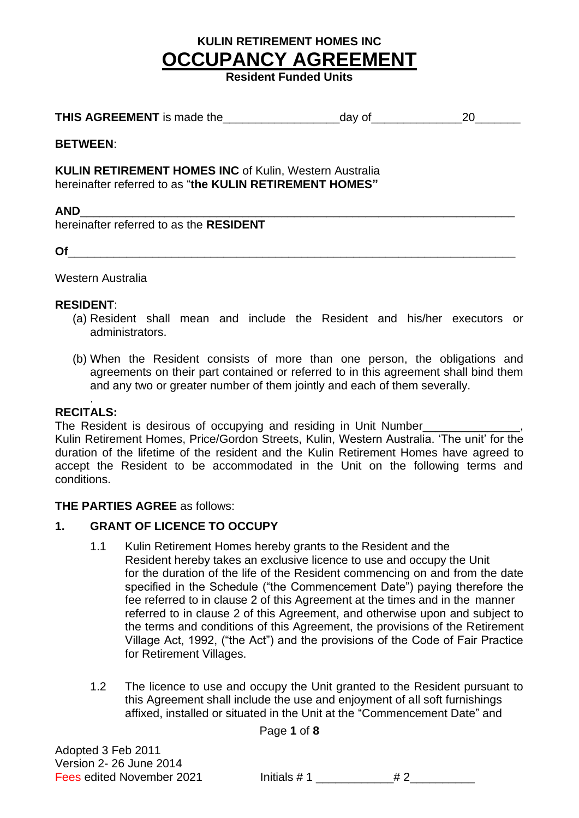**Resident Funded Units**

| <b>THIS AGREEMENT</b> is made the | dav o' |  |
|-----------------------------------|--------|--|
|-----------------------------------|--------|--|

#### **BETWEEN**:

**KULIN RETIREMENT HOMES INC** of Kulin, Western Australia hereinafter referred to as "**the KULIN RETIREMENT HOMES"**

#### **AND**\_\_\_\_\_\_\_\_\_\_\_\_\_\_\_\_\_\_\_\_\_\_\_\_\_\_\_\_\_\_\_\_\_\_\_\_\_\_\_\_\_\_\_\_\_\_\_\_\_\_\_\_\_\_\_\_\_\_\_\_\_\_\_\_\_\_\_

hereinafter referred to as the **RESIDENT**

**Of** 

Western Australia

#### **RESIDENT**:

- (a) Resident shall mean and include the Resident and his/her executors or administrators.
- (b) When the Resident consists of more than one person, the obligations and agreements on their part contained or referred to in this agreement shall bind them and any two or greater number of them jointly and each of them severally.

#### . **RECITALS:**

The Resident is desirous of occupying and residing in Unit Number\_

Kulin Retirement Homes, Price/Gordon Streets, Kulin, Western Australia. 'The unit' for the duration of the lifetime of the resident and the Kulin Retirement Homes have agreed to accept the Resident to be accommodated in the Unit on the following terms and conditions.

#### **THE PARTIES AGREE** as follows:

#### **1. GRANT OF LICENCE TO OCCUPY**

- 1.1 Kulin Retirement Homes hereby grants to the Resident and the Resident hereby takes an exclusive licence to use and occupy the Unit for the duration of the life of the Resident commencing on and from the date specified in the Schedule ("the Commencement Date") paying therefore the fee referred to in clause 2 of this Agreement at the times and in the manner referred to in clause 2 of this Agreement, and otherwise upon and subject to the terms and conditions of this Agreement, the provisions of the Retirement Village Act, 1992, ("the Act") and the provisions of the Code of Fair Practice for Retirement Villages.
- 1.2 The licence to use and occupy the Unit granted to the Resident pursuant to this Agreement shall include the use and enjoyment of all soft furnishings affixed, installed or situated in the Unit at the "Commencement Date" and

Page **1** of **8**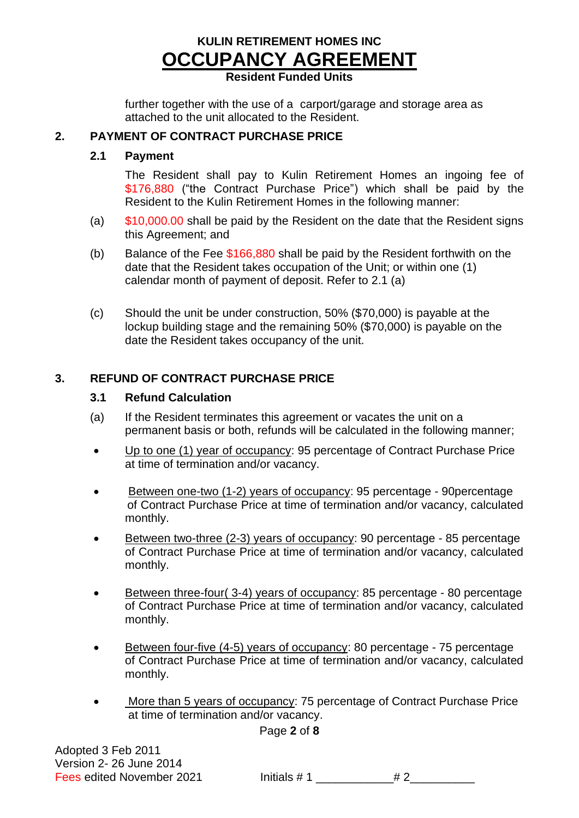## **Resident Funded Units**

further together with the use of a carport/garage and storage area as attached to the unit allocated to the Resident.

## **2. PAYMENT OF CONTRACT PURCHASE PRICE**

## **2.1 Payment**

The Resident shall pay to Kulin Retirement Homes an ingoing fee of \$176,880 ("the Contract Purchase Price") which shall be paid by the Resident to the Kulin Retirement Homes in the following manner:

- (a)  $$10,000.00$  shall be paid by the Resident on the date that the Resident signs this Agreement; and
- (b) Balance of the Fee  $$166,880$  shall be paid by the Resident forthwith on the date that the Resident takes occupation of the Unit; or within one (1) calendar month of payment of deposit. Refer to 2.1 (a)
- (c) Should the unit be under construction, 50% (\$70,000) is payable at the lockup building stage and the remaining 50% (\$70,000) is payable on the date the Resident takes occupancy of the unit.

## **3. REFUND OF CONTRACT PURCHASE PRICE**

## **3.1 Refund Calculation**

- (a) If the Resident terminates this agreement or vacates the unit on a permanent basis or both, refunds will be calculated in the following manner;
- Up to one (1) year of occupancy: 95 percentage of Contract Purchase Price at time of termination and/or vacancy.
- Between one-two (1-2) years of occupancy: 95 percentage 90percentage of Contract Purchase Price at time of termination and/or vacancy, calculated monthly.
- Between two-three (2-3) years of occupancy: 90 percentage 85 percentage of Contract Purchase Price at time of termination and/or vacancy, calculated monthly.
- Between three-four( 3-4) years of occupancy: 85 percentage 80 percentage of Contract Purchase Price at time of termination and/or vacancy, calculated monthly.
- Between four-five (4-5) years of occupancy: 80 percentage 75 percentage of Contract Purchase Price at time of termination and/or vacancy, calculated monthly.
- More than 5 years of occupancy: 75 percentage of Contract Purchase Price at time of termination and/or vacancy.

Page **2** of **8**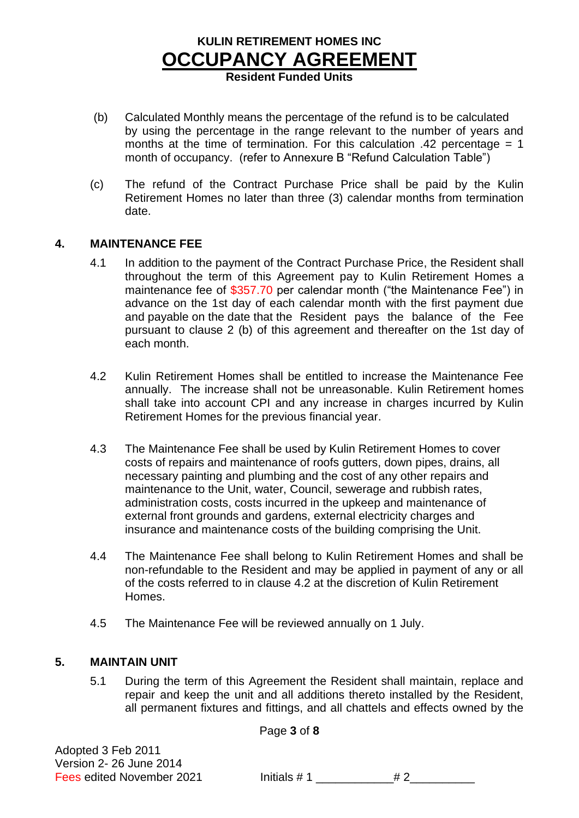**Resident Funded Units**

- (b) Calculated Monthly means the percentage of the refund is to be calculated by using the percentage in the range relevant to the number of years and months at the time of termination. For this calculation .42 percentage = 1 month of occupancy. (refer to Annexure B "Refund Calculation Table")
- (c) The refund of the Contract Purchase Price shall be paid by the Kulin Retirement Homes no later than three (3) calendar months from termination date.

#### **4. MAINTENANCE FEE**

- 4.1 In addition to the payment of the Contract Purchase Price, the Resident shall throughout the term of this Agreement pay to Kulin Retirement Homes a maintenance fee of \$357.70 per calendar month ("the Maintenance Fee") in advance on the 1st day of each calendar month with the first payment due and payable on the date that the Resident pays the balance of the Fee pursuant to clause 2 (b) of this agreement and thereafter on the 1st day of each month.
- 4.2 Kulin Retirement Homes shall be entitled to increase the Maintenance Fee annually. The increase shall not be unreasonable. Kulin Retirement homes shall take into account CPI and any increase in charges incurred by Kulin Retirement Homes for the previous financial year.
- 4.3 The Maintenance Fee shall be used by Kulin Retirement Homes to cover costs of repairs and maintenance of roofs gutters, down pipes, drains, all necessary painting and plumbing and the cost of any other repairs and maintenance to the Unit, water, Council, sewerage and rubbish rates, administration costs, costs incurred in the upkeep and maintenance of external front grounds and gardens, external electricity charges and insurance and maintenance costs of the building comprising the Unit.
- 4.4 The Maintenance Fee shall belong to Kulin Retirement Homes and shall be non-refundable to the Resident and may be applied in payment of any or all of the costs referred to in clause 4.2 at the discretion of Kulin Retirement Homes.
- 4.5 The Maintenance Fee will be reviewed annually on 1 July.

## **5. MAINTAIN UNIT**

5.1 During the term of this Agreement the Resident shall maintain, replace and repair and keep the unit and all additions thereto installed by the Resident, all permanent fixtures and fittings, and all chattels and effects owned by the

Page **3** of **8**

Adopted 3 Feb 2011 Version 2- 26 June 2014

Fees edited November 2021 **Initials #1**  $\neq 2$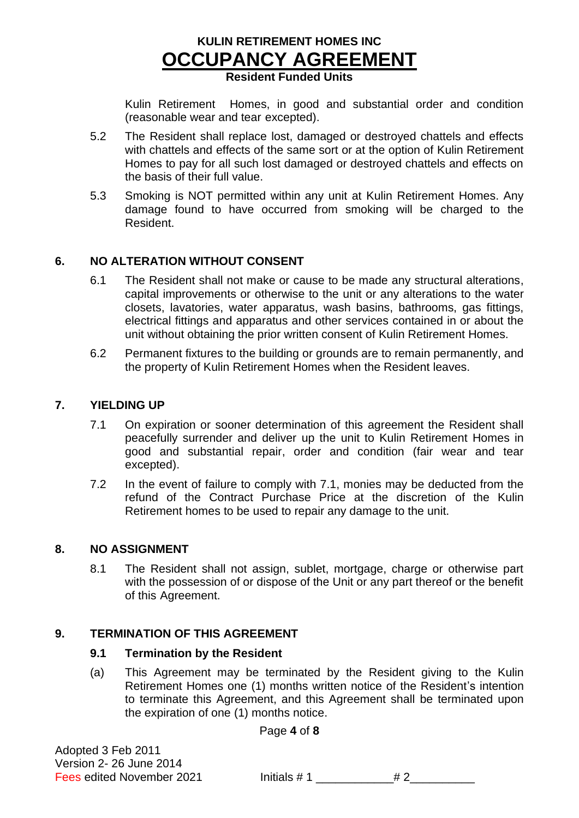## **KULIN RETIREMENT HOMES INC OCCUPANCY AGREEMENT Resident Funded Units**

Kulin Retirement Homes, in good and substantial order and condition (reasonable wear and tear excepted).

- 5.2 The Resident shall replace lost, damaged or destroyed chattels and effects with chattels and effects of the same sort or at the option of Kulin Retirement Homes to pay for all such lost damaged or destroyed chattels and effects on the basis of their full value.
- 5.3 Smoking is NOT permitted within any unit at Kulin Retirement Homes. Any damage found to have occurred from smoking will be charged to the Resident.

#### **6. NO ALTERATION WITHOUT CONSENT**

- 6.1 The Resident shall not make or cause to be made any structural alterations, capital improvements or otherwise to the unit or any alterations to the water closets, lavatories, water apparatus, wash basins, bathrooms, gas fittings, electrical fittings and apparatus and other services contained in or about the unit without obtaining the prior written consent of Kulin Retirement Homes.
- 6.2 Permanent fixtures to the building or grounds are to remain permanently, and the property of Kulin Retirement Homes when the Resident leaves.

#### **7. YIELDING UP**

- 7.1 On expiration or sooner determination of this agreement the Resident shall peacefully surrender and deliver up the unit to Kulin Retirement Homes in good and substantial repair, order and condition (fair wear and tear excepted).
- 7.2 In the event of failure to comply with 7.1, monies may be deducted from the refund of the Contract Purchase Price at the discretion of the Kulin Retirement homes to be used to repair any damage to the unit.

#### **8. NO ASSIGNMENT**

8.1 The Resident shall not assign, sublet, mortgage, charge or otherwise part with the possession of or dispose of the Unit or any part thereof or the benefit of this Agreement.

#### **9. TERMINATION OF THIS AGREEMENT**

#### **9.1 Termination by the Resident**

(a) This Agreement may be terminated by the Resident giving to the Kulin Retirement Homes one (1) months written notice of the Resident's intention to terminate this Agreement, and this Agreement shall be terminated upon the expiration of one (1) months notice.

Page **4** of **8**

Adopted 3 Feb 2011 Version 2- 26 June 2014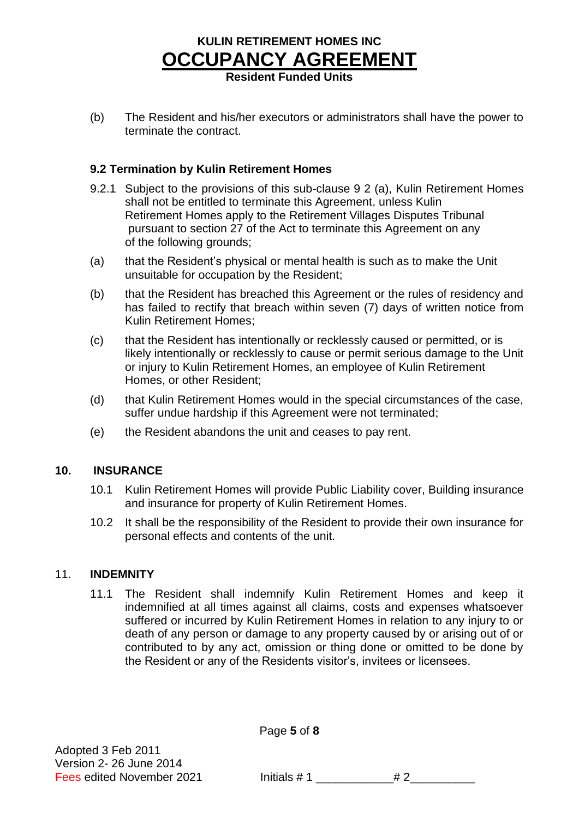**Resident Funded Units**

(b) The Resident and his/her executors or administrators shall have the power to terminate the contract.

## **9.2 Termination by Kulin Retirement Homes**

- 9.2.1 Subject to the provisions of this sub-clause 9 2 (a), Kulin Retirement Homes shall not be entitled to terminate this Agreement, unless Kulin Retirement Homes apply to the Retirement Villages Disputes Tribunal pursuant to section 27 of the Act to terminate this Agreement on any of the following grounds;
- (a) that the Resident's physical or mental health is such as to make the Unit unsuitable for occupation by the Resident;
- (b) that the Resident has breached this Agreement or the rules of residency and has failed to rectify that breach within seven (7) days of written notice from Kulin Retirement Homes;
- (c) that the Resident has intentionally or recklessly caused or permitted, or is likely intentionally or recklessly to cause or permit serious damage to the Unit or injury to Kulin Retirement Homes, an employee of Kulin Retirement Homes, or other Resident;
- (d) that Kulin Retirement Homes would in the special circumstances of the case, suffer undue hardship if this Agreement were not terminated;
- (e) the Resident abandons the unit and ceases to pay rent.

## **10. INSURANCE**

- 10.1 Kulin Retirement Homes will provide Public Liability cover, Building insurance and insurance for property of Kulin Retirement Homes.
- 10.2 It shall be the responsibility of the Resident to provide their own insurance for personal effects and contents of the unit.

#### 11. **INDEMNITY**

11.1 The Resident shall indemnify Kulin Retirement Homes and keep it indemnified at all times against all claims, costs and expenses whatsoever suffered or incurred by Kulin Retirement Homes in relation to any injury to or death of any person or damage to any property caused by or arising out of or contributed to by any act, omission or thing done or omitted to be done by the Resident or any of the Residents visitor's, invitees or licensees.

Page **5** of **8**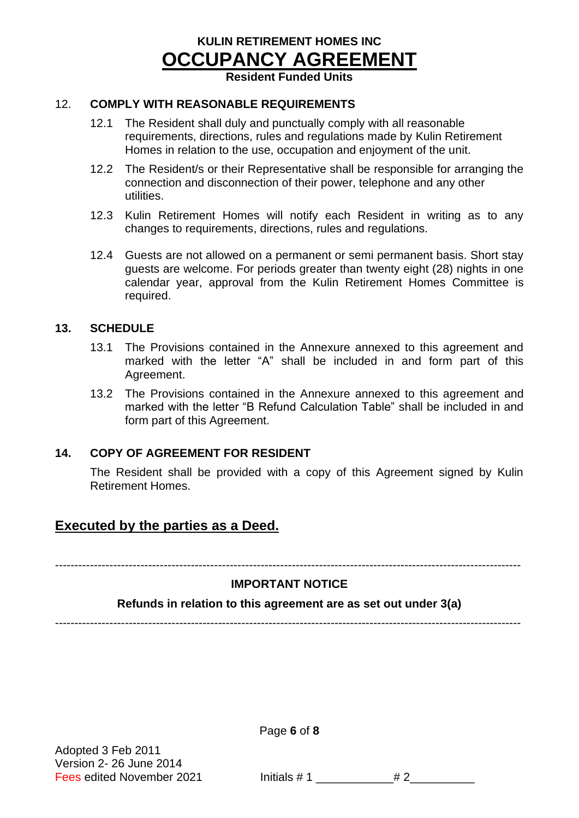**Resident Funded Units**

#### 12. **COMPLY WITH REASONABLE REQUIREMENTS**

- 12.1 The Resident shall duly and punctually comply with all reasonable requirements, directions, rules and regulations made by Kulin Retirement Homes in relation to the use, occupation and enjoyment of the unit.
- 12.2 The Resident/s or their Representative shall be responsible for arranging the connection and disconnection of their power, telephone and any other utilities.
- 12.3 Kulin Retirement Homes will notify each Resident in writing as to any changes to requirements, directions, rules and regulations.
- 12.4 Guests are not allowed on a permanent or semi permanent basis. Short stay guests are welcome. For periods greater than twenty eight (28) nights in one calendar year, approval from the Kulin Retirement Homes Committee is required.

#### **13. SCHEDULE**

- 13.1 The Provisions contained in the Annexure annexed to this agreement and marked with the letter "A" shall be included in and form part of this Agreement.
- 13.2 The Provisions contained in the Annexure annexed to this agreement and marked with the letter "B Refund Calculation Table" shall be included in and form part of this Agreement.

#### **14. COPY OF AGREEMENT FOR RESIDENT**

The Resident shall be provided with a copy of this Agreement signed by Kulin Retirement Homes.

## **Executed by the parties as a Deed.**

------------------------------------------------------------------------------------------------------------------------

## **IMPORTANT NOTICE**

#### **Refunds in relation to this agreement are as set out under 3(a)**

------------------------------------------------------------------------------------------------------------------------

Adopted 3 Feb 2011 Version 2- 26 June 2014 Page **6** of **8**

Fees edited November 2021 Initials  $# 1$  \_\_\_\_\_\_\_\_\_\_\_\_\_\_\_# 2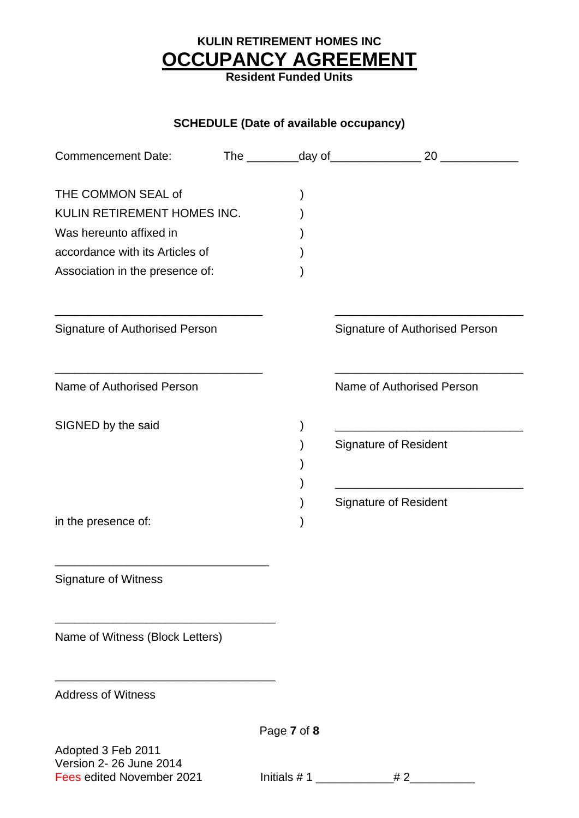**Resident Funded Units**

## **SCHEDULE (Date of available occupancy)**

| <b>Commencement Date:</b>                            |             | 20                             |
|------------------------------------------------------|-------------|--------------------------------|
| THE COMMON SEAL of                                   |             |                                |
| KULIN RETIREMENT HOMES INC.                          |             |                                |
| Was hereunto affixed in                              |             |                                |
| accordance with its Articles of                      |             |                                |
| Association in the presence of:                      |             |                                |
| Signature of Authorised Person                       |             | Signature of Authorised Person |
| Name of Authorised Person                            |             | Name of Authorised Person      |
| SIGNED by the said                                   |             |                                |
|                                                      |             | <b>Signature of Resident</b>   |
|                                                      |             |                                |
|                                                      |             | <b>Signature of Resident</b>   |
| in the presence of:                                  |             |                                |
| <b>Signature of Witness</b>                          |             |                                |
| Name of Witness (Block Letters)                      |             |                                |
| <b>Address of Witness</b>                            |             |                                |
|                                                      | Page 7 of 8 |                                |
| Adopted 3 Feb 2011                                   |             |                                |
| Version 2- 26 June 2014<br>Fees edited November 2021 |             | #2                             |
|                                                      |             |                                |